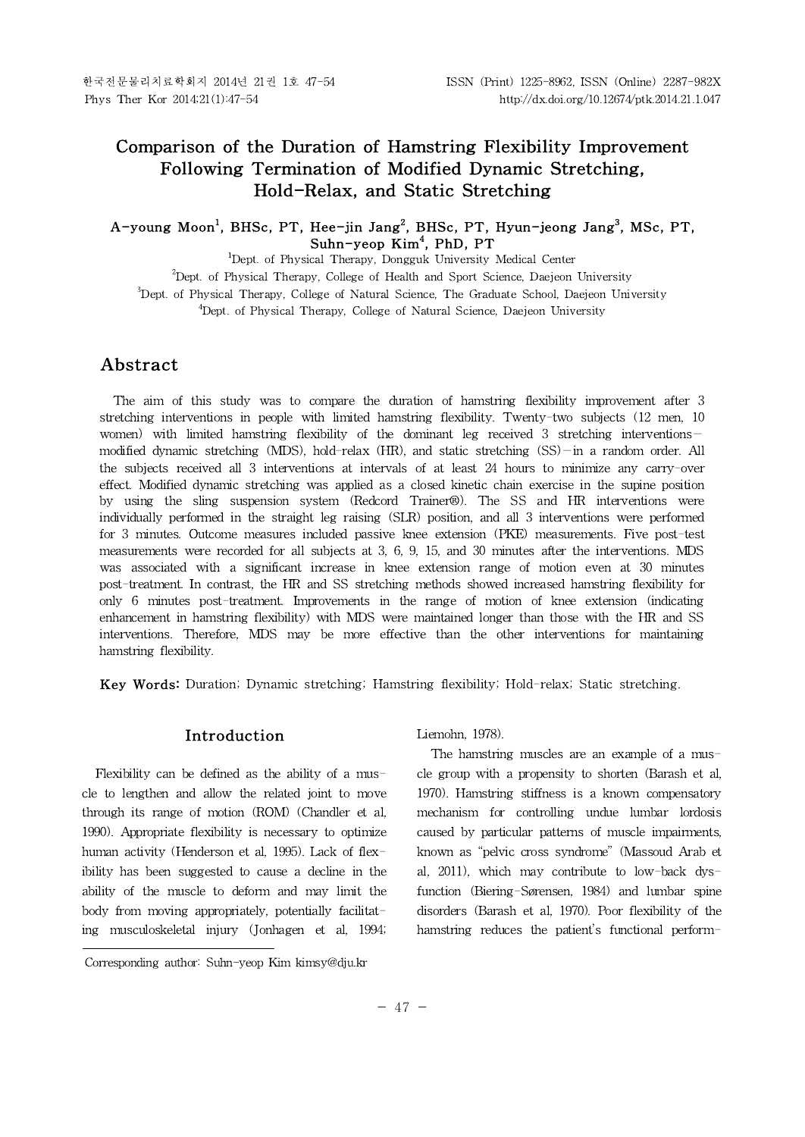# **Comparison of the Duration of Hamstring Flexibility Improvement Following Termination of Modified Dynamic Stretching, Hold-Relax, and Static Stretching**

## **A-young Moon<sup>1</sup> , BHSc, PT, Hee-jin Jang<sup>2</sup> , BHSc, PT, Hyun-jeong Jang<sup>3</sup> , MSc, PT, Suhn-yeop Kim<sup>4</sup> , PhD, PT**

<sup>1</sup>Dept. of Physical Therapy, Dongguk University Medical Center

 $2$ Dept. of Physical Therapy, College of Health and Sport Science, Daejeon University

<sup>3</sup>Dept. of Physical Therapy, College of Natural Science, The Graduate School, Daejeon University

<sup>4</sup>Dept. of Physical Therapy, College of Natural Science, Daejeon University

# **Abstract1)**

The aim of this study was to compare the duration of hamstring flexibility improvement after 3 stretching interventions in people with limited hamstring flexibility. Twenty-two subjects (12 men, 10 women) with limited hamstring flexibility of the dominant leg received 3 stretching interventions modified dynamic stretching (MDS), hold-relax (HR), and static stretching (SS)—in a random order. All the subjects received all 3 interventions at intervals of at least 24 hours to minimize any carry-over effect. Modified dynamic stretching was applied as a closed kinetic chain exercise in the supine position by using the sling suspension system (Redcord Trainer®). The SS and HR interventions were individually performed in the straight leg raising (SLR) position, and all 3 interventions were performed for 3 minutes. Outcome measures included passive knee extension (PKE) measurements. Five post-test measurements were recorded for all subjects at 3, 6, 9, 15, and 30 minutes after the interventions. MDS was associated with a significant increase in knee extension range of motion even at30 minutes post-treatment. In contrast, the HR and SS stretching methods showed increased hamstring flexibility for only 6 minutes post-treatment. Improvements in the range of motion of knee extension (indicating enhancement in hamstring flexibility) with MDS were maintained longer than those with the HR and SS interventions. Therefore, MDS may be more effective than the other interventions for maintaining hamstring flexibility.

**Key Words:** Duration; Dynamic stretching; Hamstring flexibility; Hold-relax; Static stretching.

# **Introduction**

Flexibility can be defined as the ability of a muscle to lengthen and allow the related joint to move through its range of motion (ROM) (Chandler et al, 1990). Appropriate flexibility is necessary to optimize human activity (Henderson et al, 1995). Lack of flexibility has been suggested to cause a decline in the ability of the muscle to deform and may limit the body from moving appropriately, potentially facilitating musculoskeletal injury (Jonhagen et al, 1994; Liemohn, 1978).

The hamstring muscles are an example of a muscle group with a propensity to shorten (Barash et al, 1970). Hamstring stiffness is a known compensatory mechanism for controlling undue lumbar lordosis caused by particular patterns of muscle impairments, known as "pelvic cross syndrome" (Massoud Arab et al, 2011), which may contribute to low-back dysfunction (Biering-Sørensen, 1984) and lumbar spine disorders (Barash et al, 1970). Poor flexibility of the hamstring reduces the patient's functional perform-

Corresponding author: Suhn-yeop Kim kimsy@dju.kr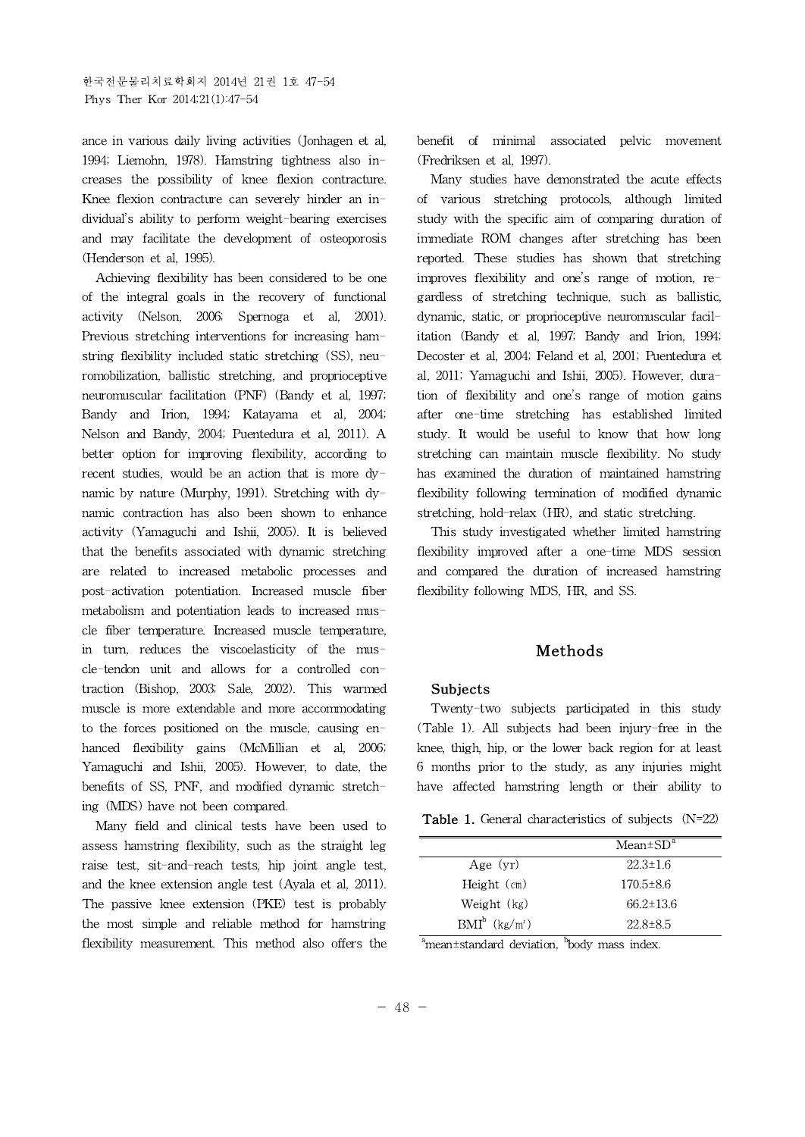ance in various daily living activities (Jonhagen et al, 1994; Liemohn, 1978). Hamstring tightness also increases the possibility of knee flexion contracture. Knee flexion contracture can severely hinder an individual's ability to perform weight-bearing exercises and may facilitate the development of osteoporosis (Henderson et al, 1995).

Achieving flexibility has been considered to be one of the integral goals in the recovery of functional activity (Nelson, 2006; Spernoga et al, 2001). Previous stretching interventions for increasing hamstring flexibility included static stretching (SS), neuromobilization, ballistic stretching, and proprioceptive neuromuscular facilitation (PNF) (Bandy et al, 1997; Bandy and Irion, 1994; Katayama et al, 2004; Nelson and Bandy, 2004; Puentedura et al, 2011). A better option for improving flexibility, according to recent studies, would be an action that is more dynamic by nature (Murphy, 1991). Stretching with dynamic contraction has also been shown to enhance activity (Yamaguchi and Ishii, 2005). It is believed that the benefits associated with dynamic stretching are related to increased metabolic processes and post-activation potentiation. Increased muscle fiber metabolism and potentiation leads to increased muscle fiber temperature. Increased muscle temperature, in turn, reduces the viscoelasticity of the muscle-tendon unit and allows for a controlled contraction (Bishop, 2003; Sale, 2002). This warmed muscle is more extendable and more accommodating to the forces positioned on the muscle, causing enhanced flexibility gains (McMillian et al, 2006; Yamaguchi and Ishii, 2005). However, to date, the benefits of SS, PNF, and modified dynamic stretching (MDS) have not been compared.

Many field and clinical tests have been used to assess hamstring flexibility, such as the straight leg raise test, sit-and-reach tests, hip joint angle test, and the knee extension angle test (Ayala et al, 2011). The passive knee extension (PKE) test is probably the most simple and reliable method for hamstring flexibility measurement. This method also offers the benefit of minimal associated pelvic movement (Fredriksen et al, 1997).

Many studies have demonstrated the acute effects of various stretching protocols, although limited study with the specific aim of comparing duration of immediate ROM changes after stretching has been reported. These studies has shown that stretching improves flexibility and one's range of motion, regardless of stretching technique, such as ballistic, dynamic, static, or proprioceptive neuromuscular facilitation (Bandy et al, 1997; Bandy and Irion, 1994; Decoster et al, 2004; Feland et al, 2001; Puentedura et al, 2011; Yamaguchi and Ishii, 2005). However, duration of flexibility and one's range of motion gains after one-time stretching has established limited study. It would be useful to know that how long stretching can maintain muscle flexibility. No study has examined the duration of maintained hamstring flexibility following termination of modified dynamic stretching, hold-relax (HR), and static stretching.

This study investigated whether limited hamstring flexibility improved after a one-time MDS session and compared the duration of increased hamstring flexibility following MDS, HR, and SS.

# **Methods**

### **Subjects**

Twenty-two subjects participated in this study (Table 1). All subjects had been injury-free in the knee, thigh, hip, or the lower back region for at least 6 months prior to the study, as any injuries might have affected hamstring length or their ability to

**Table 1.** General characteristics of subjects (N=22)

|                              | $Mean \pm SD^a$ |
|------------------------------|-----------------|
| Age $(vr)$                   | $22.3 \pm 1.6$  |
| Height $(cm)$                | $170.5 \pm 8.6$ |
| Weight (kg)                  | $66.2 \pm 13.6$ |
| $BMI^b$ (kg/m <sup>2</sup> ) | 22.8±8.5        |

 $a<sup>b</sup>$ mean $\pm$ standard deviation,  $a<sup>b</sup>$ body mass index.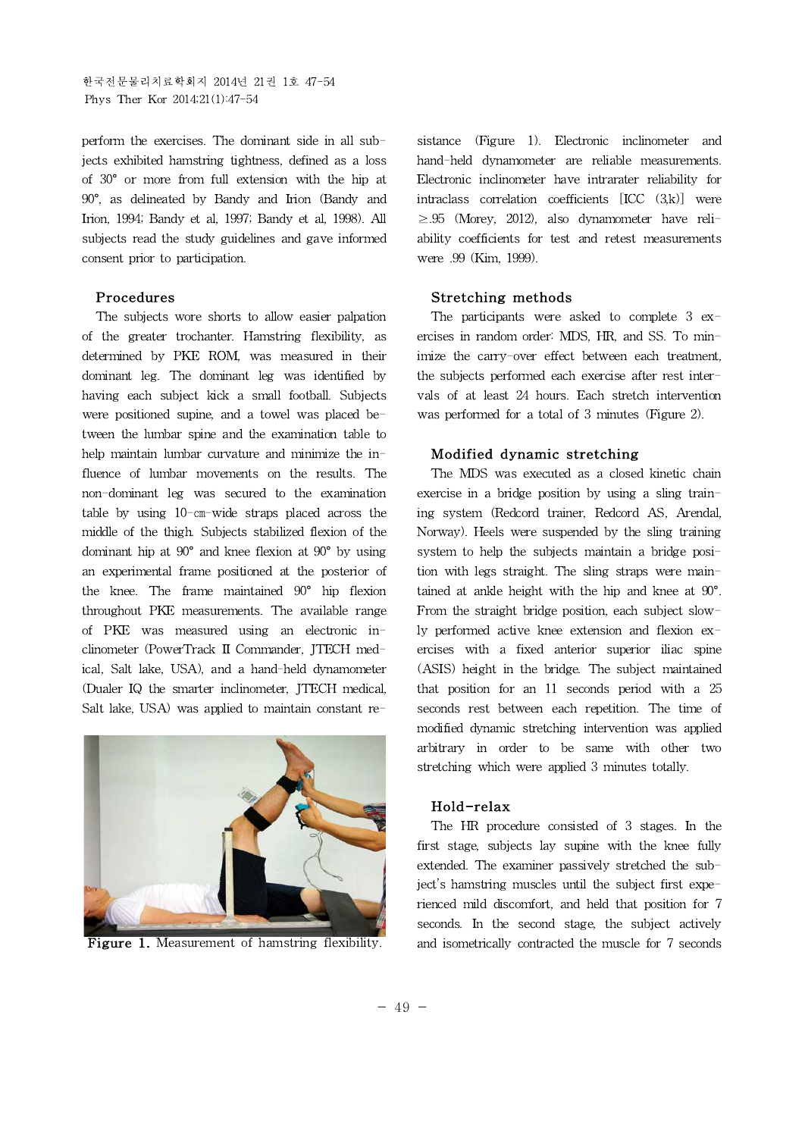한국전문물리치료학회지 2014년 21권 1호 47-54 Phys Ther Kor 2014;21(1):47-54

perform the exercises. The dominant side in all subjects exhibited hamstring tightness, defined as a loss of 30° or more from full extension with the hip at 90°, as delineated by Bandy and Irion (Bandy and Irion, 1994; Bandy et al, 1997; Bandy et al, 1998). All subjects read the study guidelines and gave informed consent prior to participation.

### **Procedures**

The subjects wore shorts to allow easier palpation of the greater trochanter. Hamstring flexibility, as determined by PKE ROM, was measured in their dominant leg. The dominant leg was identified by having each subject kick a small football. Subjects were positioned supine, and a towel was placed between the lumbar spine and the examination table to help maintain lumbar curvature and minimize the influence of lumbar movements on the results. The non-dominant leg was secured to the examination table by using 10-㎝-wide straps placed across the middle of the thigh. Subjects stabilized flexion of the dominant hip at 90° and knee flexion at 90° by using an experimental frame positioned at the posterior of the knee. The frame maintained 90° hip flexion throughout PKE measurements. The available range of PKE was measured using an electronic inclinometer (PowerTrack II Commander, JTECH medical, Salt lake, USA), and a hand-held dynamometer (Dualer IQ the smarter inclinometer, JTECH medical, Salt lake, USA) was applied to maintain constant re-



**Figure 1.** Measurement of hamstring flexibility.

sistance (Figure 1). Electronic inclinometer and hand-held dynamometer are reliable measurements. Electronic inclinometer have intrarater reliability for intraclass correlation coefficients [ICC (3,k)] were  $\geq .95$  (Morey, 2012), also dynamometer have reliability coefficients for test and retest measurements were .99 (Kim, 1999).

#### **Stretching methods**

The participants were asked to complete 3 exercises in random order: MDS, HR, and SS. To minimize the carry-over effect between each treatment, the subjects performed each exercise after rest intervals of at least 24 hours. Each stretch intervention was performed for a total of 3 minutes (Figure 2).

#### **Modified dynamic stretching**

The MDS was executed as a closed kinetic chain exercise in a bridge position by using a sling training system (Redcord trainer, Redcord AS, Arendal, Norway). Heels were suspended by the sling training system to help the subjects maintain a bridge position with legs straight. The sling straps were maintained at ankle height with the hip and knee at 90°. From the straight bridge position, each subject slowly performed active knee extension and flexion exercises with a fixed anterior superior iliac spine (ASIS) height in the bridge. The subject maintained that position for an 11 seconds period with a 25 seconds rest between each repetition. The time of modified dynamic stretching intervention was applied arbitrary in order to be same with other two stretching which were applied 3 minutes totally.

#### **Hold-relax**

The HR procedure consisted of 3 stages. In the first stage, subjects lay supine with the knee fully extended. The examiner passively stretched the subject's hamstring muscles until the subject first experienced mild discomfort, and held that position for 7 seconds. In the second stage, the subject actively and isometrically contracted the muscle for 7 seconds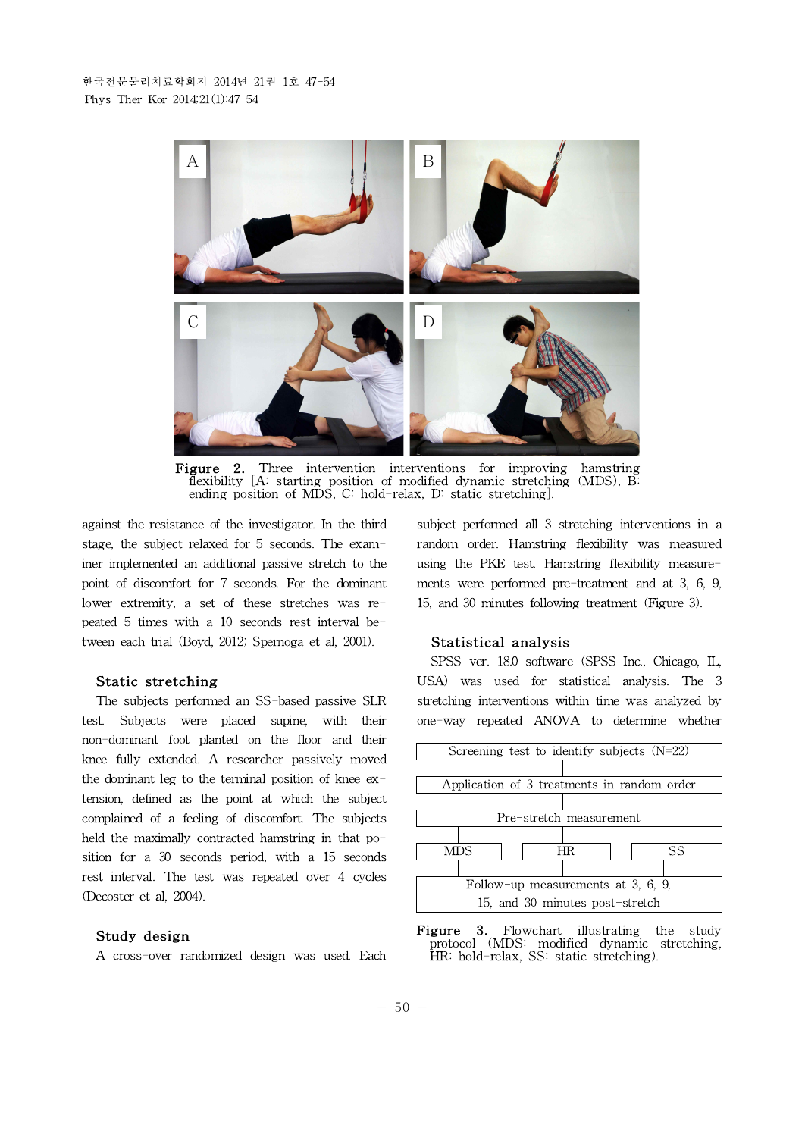

Figure 2. Three intervention interventions for improving hamstring flexibility [A: starting position of modified dynamic stretching (MDS), B: ending position of MDS, C: hold-relax, D: static stretching].

against the resistance of the investigator. In the third stage, the subject relaxed for 5 seconds. The examiner implemented an additional passive stretch to the point of discomfort for 7 seconds. For the dominant lower extremity, a set of these stretches was repeated 5 times with a 10 seconds rest interval between each trial (Boyd, 2012; Spernoga et al, 2001).

#### **Static stretching**

The subjects performed an SS-based passive SLR test. Subjects were placed supine, with their non-dominant foot planted on the floor and their knee fully extended. A researcher passively moved the dominant leg to the terminal position of knee extension, defined as the point at which the subject complained of a feeling of discomfort. The subjects held the maximally contracted hamstring in that position for a 30 seconds period, with a 15 seconds rest interval. The test was repeated over 4 cycles (Decoster et al, 2004).

#### **Study design**

A cross-over randomized design was used. Each

subject performed all 3 stretching interventions in a random order. Hamstring flexibility was measured using the PKE test. Hamstring flexibility measurements were performed pre-treatment and at 3, 6, 9, 15, and 30 minutes following treatment (Figure 3).

#### **Statistical analysis**

SPSS ver. 18.0 software (SPSS Inc., Chicago, IL, USA) was used for statistical analysis. The 3 stretching interventions within time was analyzed by one-way repeated ANOVA to determine whether



**Figure 3.** Flowchart illustrating the study protocol (MDS: modified dynamic stretching, HR: hold-relax, SS: static stretching).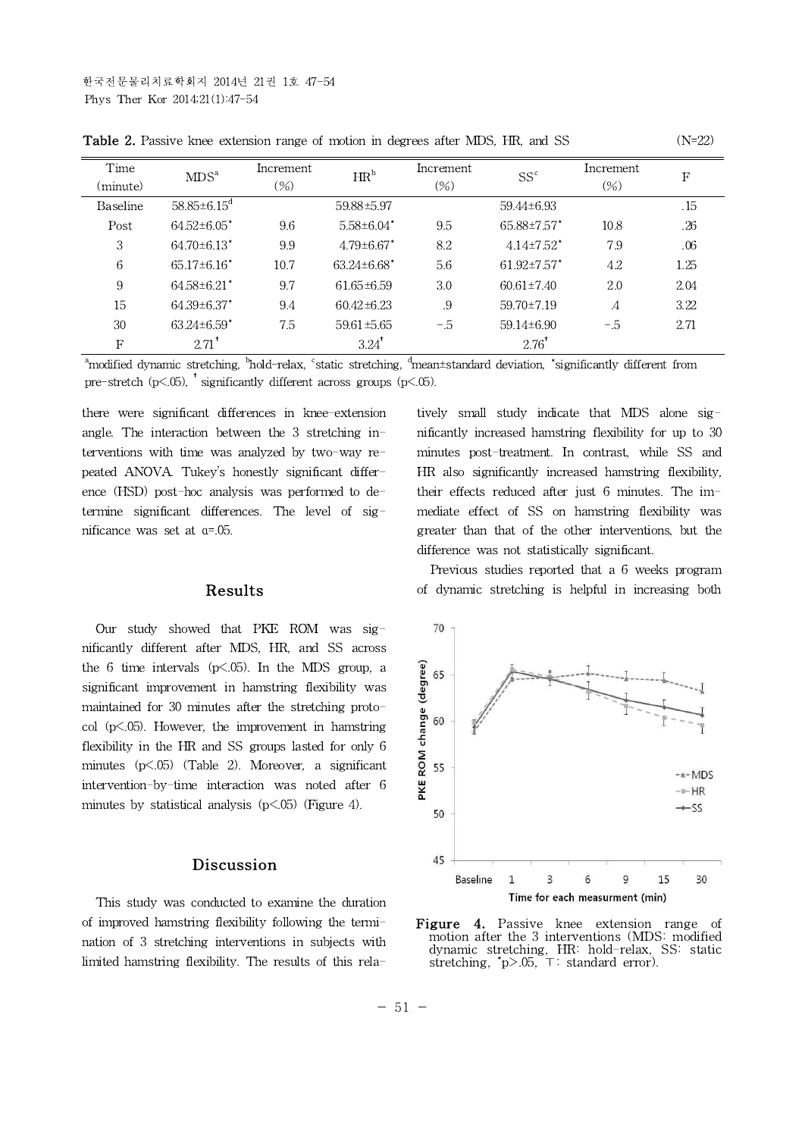| Time<br>(minute) | MDS <sup>a</sup>              | Increment<br>$(\%)$ | $HR^b$              | Increment<br>$(\%)$ | $SS^c$                       | Increment<br>$(\%)$ | F    |
|------------------|-------------------------------|---------------------|---------------------|---------------------|------------------------------|---------------------|------|
| Baseline         | $58.85 \pm 6.15$ <sup>d</sup> |                     | 59.88±5.97          |                     | 59.44±6.93                   |                     | .15  |
| Post             | $64.52 \pm 6.05$ *            | 9.6                 | $5.58 \pm 6.04$ *   | 9.5                 | $65.88 \pm 7.57$ *           | 10.8                | .26  |
| 3                | $64.70\pm6.13$ <sup>*</sup>   | 9.9                 | $4.79 \pm 6.67$ *   | 8.2                 | $4.14 \pm 7.52$ <sup>*</sup> | 7.9                 | .06  |
| 6                | $65.17\pm6.16$ <sup>*</sup>   | 10.7                | $63.24 \pm 6.68$ *  | 5.6                 | $61.92 \pm 7.57$ *           | 4.2                 | 1.25 |
| 9                | $64.58 \pm 6.21$              | 9.7                 | $61.65 \pm 6.59$    | 3.0                 | $60.61 \pm 7.40$             | 2.0                 | 2.04 |
| 15               | $64.39 \pm 6.37$ *            | 9.4                 | $60.42 \pm 6.23$    | .9                  | $59.70 \pm 7.19$             | $\cdot$             | 3.22 |
| 30               | $63.24 \pm 6.59$ <sup>*</sup> | 7.5                 | $59.61 \pm 5.65$    | $-.5$               | 59.14±6.90                   | $-.5$               | 2.71 |
| F                | $2.71$ <sup>*</sup>           |                     | $3.24$ <sup>*</sup> |                     | $2.76^{\dagger}$             |                     |      |

**Table 2.** Passive knee extension range of motion in degrees after MDS, HR, and SS (N=22)

<sup>a</sup>modified dynamic stretching, <sup>b</sup>hold-relax, <sup>c</sup>static stretching, <sup>d</sup>mean±standard deviation, \*significantly different from pre-stretch (p<.05), † significantly different across groups (p<.05).

there were significant differences in knee-extension angle. The interaction between the 3 stretching interventions with time was analyzed by two-way repeated ANOVA. Tukey's honestly significant difference (HSD) post-hoc analysis was performed to determine significant differences. The level of significance was set at α=.05.

### **Results**

Our study showed that PKE ROM was significantly different after MDS, HR, and SS across the 6 time intervals  $(p<.05)$ . In the MDS group, a<br>
significant improvement in hamstring flexibility was<br>
maintained for 30 minutes after the stretching proto-<br>
col  $(p<.05)$ . However, the improvement in hamstring<br>
flexibi significant improvement in hamstring flexibility was maintained for 30 minutes after the stretching protocol (p<.05). However, the improvement in hamstring  $\frac{5}{6}$  60 flexibility in the HR and SS groups lasted for only 6 minutes  $(p<.05)$  (Table 2). Moreover, a significant intervention-by-time interaction was noted after 6 minutes by statistical analysis  $(p<.05)$  (Figure 4).

### **Discussion**

This study was conducted to examine the duration of improved hamstring flexibility following the termination of 3 stretching interventions in subjects with limited hamstring flexibility. The results of this relatively small study indicate that MDS alone significantly increased hamstring flexibility for up to 30 minutes post-treatment. In contrast, while SS and HR also significantly increased hamstring flexibility, their effects reduced after just 6 minutes. The immediate effect of SS on hamstring flexibility was greater than that of the other interventions, but the difference was not statistically significant.

Previous studies reported that a 6 weeks program of dynamic stretching is helpful in increasing both



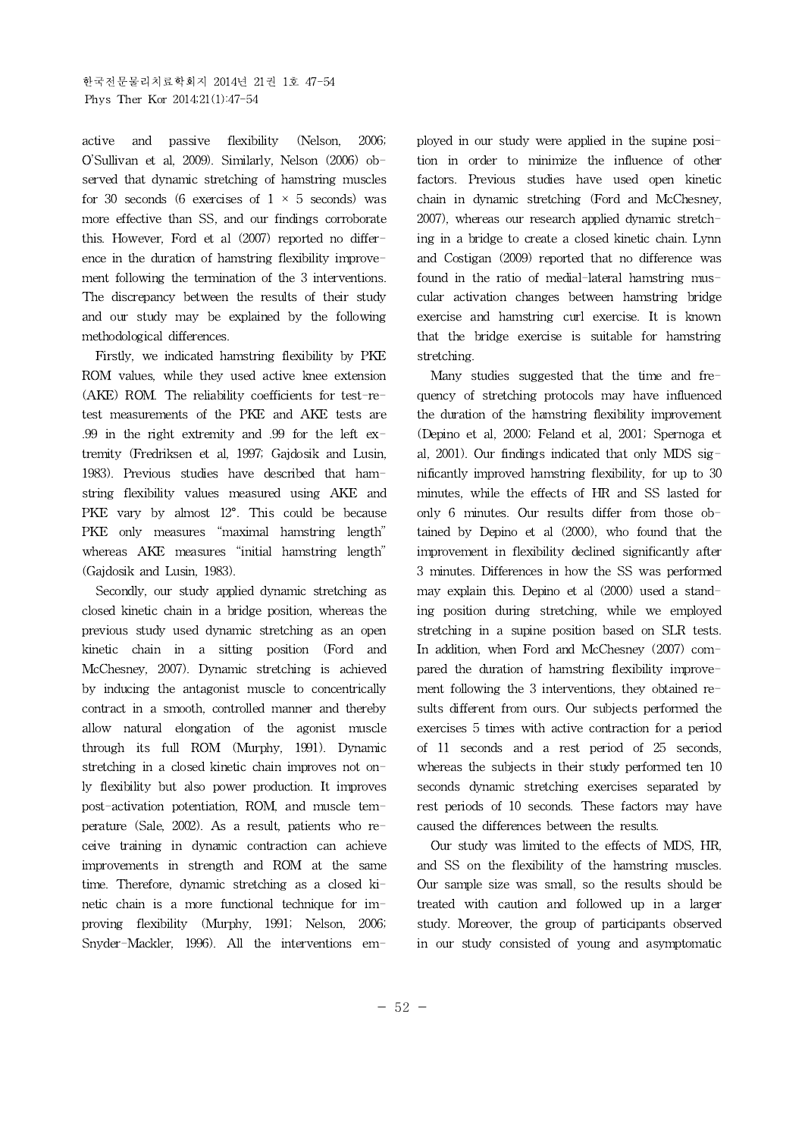active and passive flexibility (Nelson, 2006; O'Sullivan et al, 2009). Similarly, Nelson (2006) observed that dynamic stretching of hamstring muscles for 30 seconds (6 exercises of  $1 \times 5$  seconds) was more effective than SS, and our findings corroborate this. However, Ford et al (2007) reported no difference in the duration of hamstring flexibility improvement following the termination of the 3 interventions. The discrepancy between the results of their study and our study may be explained by the following methodological differences.

Firstly, we indicated hamstring flexibility by PKE ROM values, while they used active knee extension (AKE) ROM. The reliability coefficients for test-retest measurements of the PKE and AKE tests are .99 in the right extremity and .99 for the left extremity (Fredriksen et al, 1997; Gajdosik and Lusin, 1983). Previous studies have described that hamstring flexibility values measured using AKE and PKE vary by almost 12°. This could be because PKE only measures "maximal hamstring length" whereas AKE measures "initial hamstring length" (Gajdosik and Lusin, 1983).

Secondly, our study applied dynamic stretching as closed kinetic chain in a bridge position, whereas the previous study used dynamic stretching as an open kinetic chain in a sitting position (Ford and McChesney, 2007). Dynamic stretching is achieved by inducing the antagonist muscle to concentrically contract in a smooth, controlled manner and thereby allow natural elongation of the agonist muscle through its full ROM (Murphy, 1991). Dynamic stretching in a closed kinetic chain improves not only flexibility but also power production. It improves post-activation potentiation, ROM, and muscle temperature (Sale, 2002). As a result, patients who receive training in dynamic contraction can achieve improvements in strength and ROM at the same time. Therefore, dynamic stretching as a closed kinetic chain is a more functional technique for improving flexibility (Murphy, 1991; Nelson, 2006; Snyder-Mackler, 1996). All the interventions employed in our study were applied in the supine position in order to minimize the influence of other factors. Previous studies have used open kinetic chain in dynamic stretching (Ford and McChesney, 2007), whereas our research applied dynamic stretching in a bridge to create a closed kinetic chain. Lynn and Costigan (2009) reported that no difference was found in the ratio of medial-lateral hamstring muscular activation changes between hamstring bridge exercise and hamstring curl exercise. It is known that the bridge exercise is suitable for hamstring stretching.

Many studies suggested that the time and frequency of stretching protocols may have influenced the duration of the hamstring flexibility improvement (Depino et al, 2000; Feland et al, 2001; Spernoga et al, 2001). Our findings indicated that only MDS significantly improved hamstring flexibility, for up to 30 minutes, while the effects of HR and SS lasted for only 6 minutes. Our results differ from those obtained by Depino et al (2000), who found that the improvement in flexibility declined significantly after 3 minutes. Differences in how the SS was performed may explain this.Depino et al (2000) used a standing position during stretching, while we employed stretching in a supine position based on SLR tests. In addition, when Ford and McChesney (2007) compared the duration of hamstring flexibility improvement following the 3 interventions, they obtained results different from ours. Our subjects performed the exercises 5 times with active contraction for a period of 11 seconds and a rest period of 25 seconds, whereas the subjects in their study performed ten 10 seconds dynamic stretching exercises separated by rest periods of 10 seconds. These factors may have caused the differences between the results.

Our study was limited to the effects of MDS, HR, and SS on the flexibility of the hamstring muscles. Our sample size was small, so the results should be treated with caution and followed up in a larger study. Moreover, the group of participants observed in our study consisted of young and asymptomatic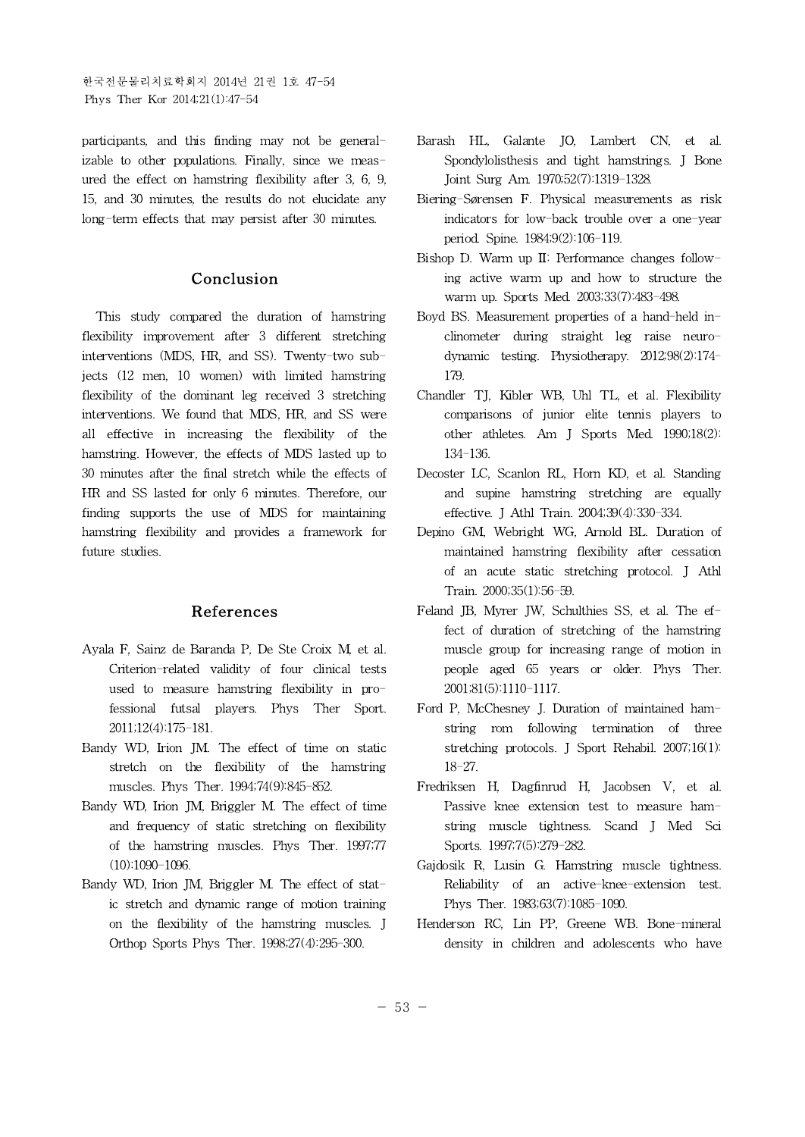한국전문물리치료학회지 2014년 21권 1호 47-54 Phys Ther Kor 2014;21(1):47-54

participants, and this finding may not be generalizable to other populations. Finally, since we measured the effect on hamstring flexibility after 3,6, 9, 15, and 30 minutes, the results do not elucidate any long-term effects that may persist after 30 minutes.

## **Conclusion**

This study compared the duration of hamstring flexibility improvement after 3 different stretching interventions (MDS, HR, and SS). Twenty-two subjects (12 men, 10 women) with limited hamstring flexibility of the dominant leg received 3 stretching interventions. We found that MDS, HR, and SS were all effective in increasing the flexibility of the hamstring. However, the effects of MDS lasted up to 30 minutes after the final stretch while the effects of HR and SS lasted for only 6 minutes. Therefore, our finding supports the use of MDS for maintaining hamstring flexibility and provides a framework for future studies.

### **References**

- Ayala F, Sainz de Baranda P, De Ste Croix M, et al. Criterion-related validity of four clinical tests used to measure hamstring flexibility in professional futsal players. Phys Ther Sport. 2011;12(4):175-181.
- Bandy WD, Irion JM. The effect of time on static stretch on the flexibility of the hamstring muscles. Phys Ther. 1994;74(9):845-852.
- Bandy WD, Irion JM, Briggler M. The effect of time and frequency of static stretching on flexibility of the hamstring muscles. Phys Ther. 1997;77 (10):1090-1096.
- Bandy WD, Irion JM, Briggler M. The effect of static stretch and dynamic range of motion training on the flexibility of the hamstring muscles. J Orthop Sports Phys Ther. 1998;27(4):295-300.
- Barash HL, Galante JO, Lambert CN, et al. Spondylolisthesis and tight hamstrings. J Bone Joint Surg Am. 1970;52(7):1319-1328.
- Biering-Sørensen F. Physical measurements as risk indicators for low-back trouble over a one-year period. Spine. 1984;9(2):106-119.
- Bishop D. Warm up II: Performance changes following active warm up and how to structure the warm up. Sports Med. 2003;33(7):483-498.
- Boyd BS. Measurement properties of a hand-held inclinometer during straight leg raise neurodynamic testing. Physiotherapy. 2012;98(2):174- 179.
- Chandler TJ, Kibler WB, Uhl TL, et al. Flexibility comparisons of junior elite tennis players to other athletes. Am J Sports Med. 1990;18(2): 134-136.
- Decoster LC, Scanlon RL, Horn KD, et al. Standing and supine hamstring stretching are equally effective. J Athl Train. 2004;39(4):330-334.
- Depino GM, Webright WG, Arnold BL. Duration of maintained hamstring flexibility after cessation of an acute static stretching protocol. J Athl Train. 2000;35(1):56-59.
- Feland JB, Myrer JW, Schulthies SS, et al. The effect of duration of stretching of the hamstring muscle group for increasing range of motion in people aged 65 years or older. Phys Ther. 2001;81(5):1110-1117.
- Ford P, McChesney J. Duration of maintained hamstring rom following termination of three stretching protocols. J Sport Rehabil. 2007;16(1): 18-27.
- Fredriksen H, Dagfinrud H, Jacobsen V, et al. Passive knee extension test to measure hamstring muscle tightness. Scand J Med Sci Sports. 1997;7(5):279-282.
- Gajdosik R, Lusin G. Hamstring muscle tightness. Reliability of an active-knee-extension test. Phys Ther. 1983;63(7):1085-1090.
- Henderson RC, Lin PP, Greene WB. Bone-mineral density in children and adolescents who have